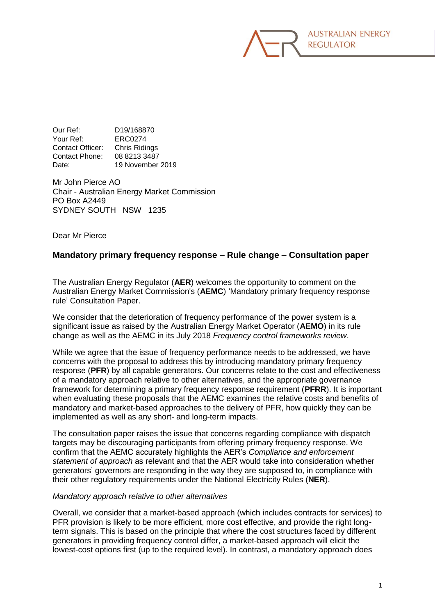

Our Ref: D19/168870 Your Ref: ERC0274 Contact Officer: Chris Ridings Contact Phone: 08 8213 3487 Date: 19 November 2019

Mr John Pierce AO Chair - Australian Energy Market Commission PO Box A2449 SYDNEY SOUTH NSW 1235

Dear Mr Pierce

## **Mandatory primary frequency response – Rule change – Consultation paper**

The Australian Energy Regulator (**AER**) welcomes the opportunity to comment on the Australian Energy Market Commission's (**AEMC**) 'Mandatory primary frequency response rule' Consultation Paper.

We consider that the deterioration of frequency performance of the power system is a significant issue as raised by the Australian Energy Market Operator (**AEMO**) in its rule change as well as the AEMC in its July 2018 *Frequency control frameworks review*.

While we agree that the issue of frequency performance needs to be addressed, we have concerns with the proposal to address this by introducing mandatory primary frequency response (**PFR**) by all capable generators. Our concerns relate to the cost and effectiveness of a mandatory approach relative to other alternatives, and the appropriate governance framework for determining a primary frequency response requirement (**PFRR**). It is important when evaluating these proposals that the AEMC examines the relative costs and benefits of mandatory and market-based approaches to the delivery of PFR, how quickly they can be implemented as well as any short- and long-term impacts.

The consultation paper raises the issue that concerns regarding compliance with dispatch targets may be discouraging participants from offering primary frequency response. We confirm that the AEMC accurately highlights the AER's *Compliance and enforcement statement of approach* as relevant and that the AER would take into consideration whether generators' governors are responding in the way they are supposed to, in compliance with their other regulatory requirements under the National Electricity Rules (**NER**).

## *Mandatory approach relative to other alternatives*

Overall, we consider that a market-based approach (which includes contracts for services) to PFR provision is likely to be more efficient, more cost effective, and provide the right longterm signals. This is based on the principle that where the cost structures faced by different generators in providing frequency control differ, a market-based approach will elicit the lowest-cost options first (up to the required level). In contrast, a mandatory approach does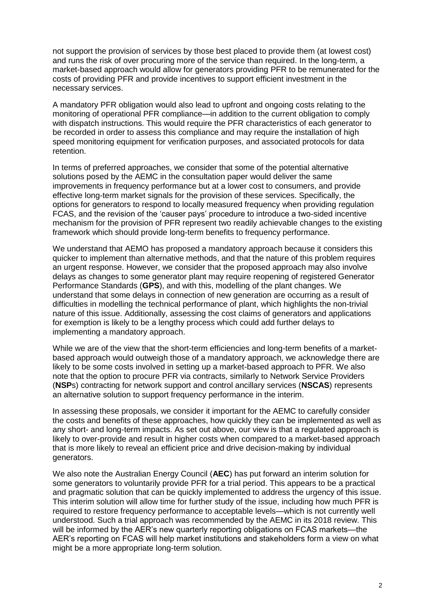not support the provision of services by those best placed to provide them (at lowest cost) and runs the risk of over procuring more of the service than required. In the long-term, a market-based approach would allow for generators providing PFR to be remunerated for the costs of providing PFR and provide incentives to support efficient investment in the necessary services.

A mandatory PFR obligation would also lead to upfront and ongoing costs relating to the monitoring of operational PFR compliance—in addition to the current obligation to comply with dispatch instructions. This would require the PFR characteristics of each generator to be recorded in order to assess this compliance and may require the installation of high speed monitoring equipment for verification purposes, and associated protocols for data retention.

In terms of preferred approaches, we consider that some of the potential alternative solutions posed by the AEMC in the consultation paper would deliver the same improvements in frequency performance but at a lower cost to consumers, and provide effective long-term market signals for the provision of these services. Specifically, the options for generators to respond to locally measured frequency when providing regulation FCAS, and the revision of the 'causer pays' procedure to introduce a two-sided incentive mechanism for the provision of PFR represent two readily achievable changes to the existing framework which should provide long-term benefits to frequency performance.

We understand that AEMO has proposed a mandatory approach because it considers this quicker to implement than alternative methods, and that the nature of this problem requires an urgent response. However, we consider that the proposed approach may also involve delays as changes to some generator plant may require reopening of registered Generator Performance Standards (**GPS**), and with this, modelling of the plant changes. We understand that some delays in connection of new generation are occurring as a result of difficulties in modelling the technical performance of plant, which highlights the non-trivial nature of this issue. Additionally, assessing the cost claims of generators and applications for exemption is likely to be a lengthy process which could add further delays to implementing a mandatory approach.

While we are of the view that the short-term efficiencies and long-term benefits of a marketbased approach would outweigh those of a mandatory approach, we acknowledge there are likely to be some costs involved in setting up a market-based approach to PFR. We also note that the option to procure PFR via contracts, similarly to Network Service Providers (**NSP**s) contracting for network support and control ancillary services (**NSCAS**) represents an alternative solution to support frequency performance in the interim.

In assessing these proposals, we consider it important for the AEMC to carefully consider the costs and benefits of these approaches, how quickly they can be implemented as well as any short- and long-term impacts. As set out above, our view is that a regulated approach is likely to over-provide and result in higher costs when compared to a market-based approach that is more likely to reveal an efficient price and drive decision-making by individual generators.

We also note the Australian Energy Council (**AEC**) has put forward an interim solution for some generators to voluntarily provide PFR for a trial period. This appears to be a practical and pragmatic solution that can be quickly implemented to address the urgency of this issue. This interim solution will allow time for further study of the issue, including how much PFR is required to restore frequency performance to acceptable levels—which is not currently well understood. Such a trial approach was recommended by the AEMC in its 2018 review. This will be informed by the AER's new quarterly reporting obligations on FCAS markets—the AER's reporting on FCAS will help market institutions and stakeholders form a view on what might be a more appropriate long-term solution.